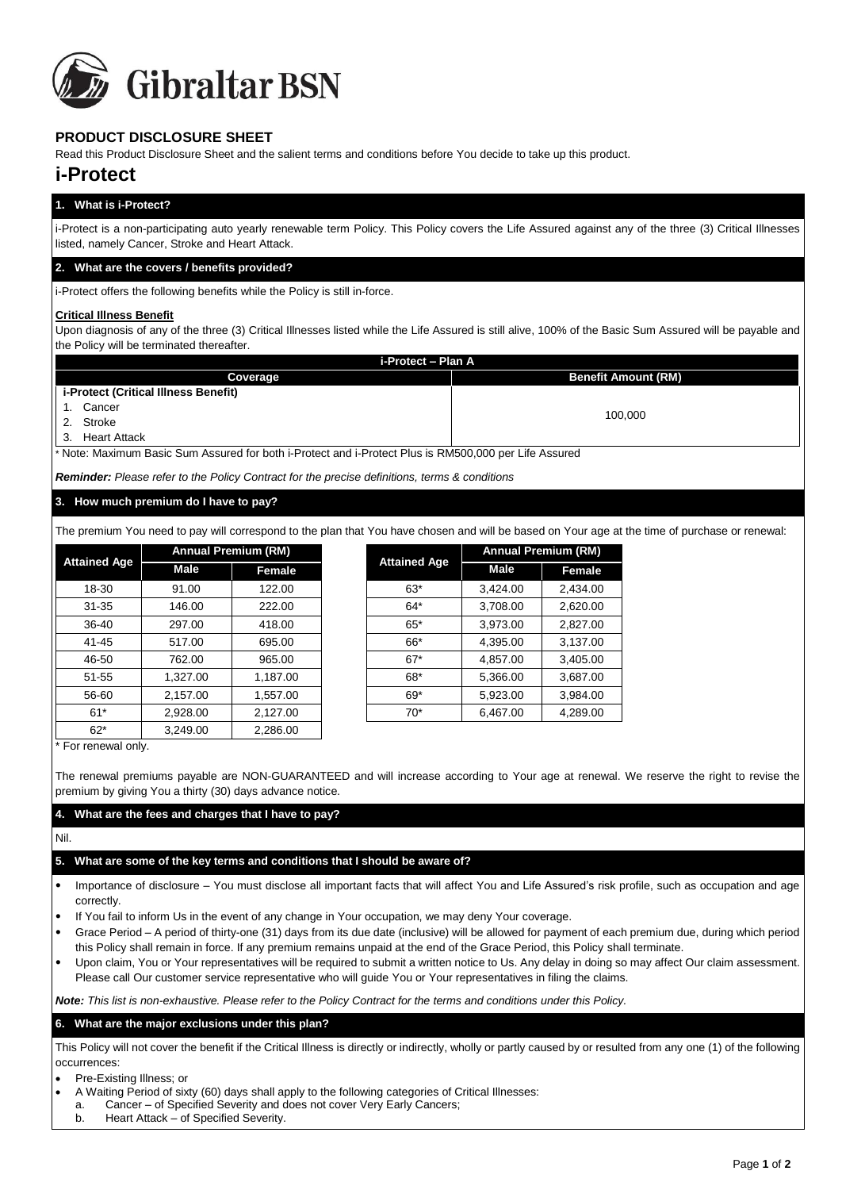

# **PRODUCT DISCLOSURE SHEET**

Read this Product Disclosure Sheet and the salient terms and conditions before You decide to take up this product.

# **i-Protect**

### **1. What is i-Protect?**

i-Protect is a non-participating auto yearly renewable term Policy. This Policy covers the Life Assured against any of the three (3) Critical Illnesses listed, namely Cancer, Stroke and Heart Attack.

### **2. What are the covers / benefits provided?**

i-Protect offers the following benefits while the Policy is still in-force.

### **Critical Illness Benefit**

Upon diagnosis of any of the three (3) Critical Illnesses listed while the Life Assured is still alive, 100% of the Basic Sum Assured will be payable and the Policy will be terminated thereafter.

| i-Protect - Plan A                          |                            |  |  |  |  |
|---------------------------------------------|----------------------------|--|--|--|--|
| Coverage                                    | <b>Benefit Amount (RM)</b> |  |  |  |  |
| <i>i-Protect (Critical Illness Benefit)</i> |                            |  |  |  |  |
| Cancer                                      |                            |  |  |  |  |
| 2. Stroke                                   | 100.000                    |  |  |  |  |
| <b>Heart Attack</b><br>3.                   |                            |  |  |  |  |

Note: Maximum Basic Sum Assured for both i-Protect and i-Protect Plus is RM500,000 per Life Assured

*Reminder: Please refer to the Policy Contract for the precise definitions, terms & conditions*

### **3. How much premium do I have to pay?**

The premium You need to pay will correspond to the plan that You have chosen and will be based on Your age at the time of purchase or renewal:

| <b>Attained Age</b> | <b>Annual Premium (RM)</b> |          |                     | <b>Annual Premium (RM)</b> |
|---------------------|----------------------------|----------|---------------------|----------------------------|
|                     | Male                       | Female   | <b>Attained Age</b> | Male                       |
| 18-30               | 91.00                      | 122.00   | $63*$               | 3,424.00                   |
| $31 - 35$           | 146.00                     | 222.00   | $64*$               | 3,708.00                   |
| 36-40               | 297.00                     | 418.00   | $65*$               | 3,973.00                   |
| 41-45               | 517.00                     | 695.00   | 66*                 | 4,395.00                   |
| 46-50               | 762.00                     | 965.00   | $67*$               | 4,857.00                   |
| $51 - 55$           | 1,327.00                   | 1,187.00 | 68*                 | 5,366.00                   |
| 56-60               | 2,157.00                   | 1,557.00 | $69*$               | 5,923.00                   |
| $61*$               | 2,928.00                   | 2,127.00 | $70*$               | 6,467.00                   |
| $62*$               | 3,249.00                   | 2,286.00 |                     |                            |

| simum Tou nooi to pay will concepting to the plan that Tou have chosen and will be based on Tour age at |                            |          |  |                     |                            |               |  |  |
|---------------------------------------------------------------------------------------------------------|----------------------------|----------|--|---------------------|----------------------------|---------------|--|--|
| ned Age                                                                                                 | <b>Annual Premium (RM)</b> |          |  |                     | <b>Annual Premium (RM)</b> |               |  |  |
|                                                                                                         | Male                       | Female   |  | <b>Attained Age</b> | Male                       | <b>Female</b> |  |  |
| 8-30                                                                                                    | 91.00                      | 122.00   |  | $63*$               | 3,424.00                   | 2,434.00      |  |  |
| $1 - 35$                                                                                                | 146.00                     | 222.00   |  | 64*                 | 3,708.00                   | 2,620.00      |  |  |
| 6-40                                                                                                    | 297.00                     | 418.00   |  | $65*$               | 3,973.00                   | 2,827.00      |  |  |
| $1 - 45$                                                                                                | 517.00                     | 695.00   |  | 66*                 | 4,395.00                   | 3,137.00      |  |  |
| 6-50                                                                                                    | 762.00                     | 965.00   |  | $67*$               | 4,857.00                   | 3,405.00      |  |  |
| 1-55                                                                                                    | 1,327.00                   | 1,187.00 |  | 68*                 | 5,366.00                   | 3,687.00      |  |  |
| 6-60                                                                                                    | 2,157.00                   | 1,557.00 |  | $69*$               | 5,923.00                   | 3,984.00      |  |  |
| 61*                                                                                                     | 2,928.00                   | 2,127.00 |  | $70*$               | 6,467.00                   | 4,289.00      |  |  |
|                                                                                                         |                            |          |  |                     |                            |               |  |  |

\* For renewal only.

The renewal premiums payable are NON-GUARANTEED and will increase according to Your age at renewal. We reserve the right to revise the premium by giving You a thirty (30) days advance notice.

### **4. What are the fees and charges that I have to pay?**

Nil.

## **5. What are some of the key terms and conditions that I should be aware of?**

- Importance of disclosure You must disclose all important facts that will affect You and Life Assured's risk profile, such as occupation and age correctly.
- If You fail to inform Us in the event of any change in Your occupation, we may deny Your coverage.
- Grace Period A period of thirty-one (31) days from its due date (inclusive) will be allowed for payment of each premium due, during which period this Policy shall remain in force. If any premium remains unpaid at the end of the Grace Period, this Policy shall terminate.
- Upon claim, You or Your representatives will be required to submit a written notice to Us. Any delay in doing so may affect Our claim assessment. Please call Our customer service representative who will guide You or Your representatives in filing the claims.

*Note: This list is non-exhaustive. Please refer to the Policy Contract for the terms and conditions under this Policy.* 

### **6. What are the major exclusions under this plan?**

This Policy will not cover the benefit if the Critical Illness is directly or indirectly, wholly or partly caused by or resulted from any one (1) of the following occurrences:

- Pre-Existing Illness; or
- A Waiting Period of sixty (60) days shall apply to the following categories of Critical Illnesses:
- a. Cancer of Specified Severity and does not cover Very Early Cancers;
- b. Heart Attack of Specified Severity.